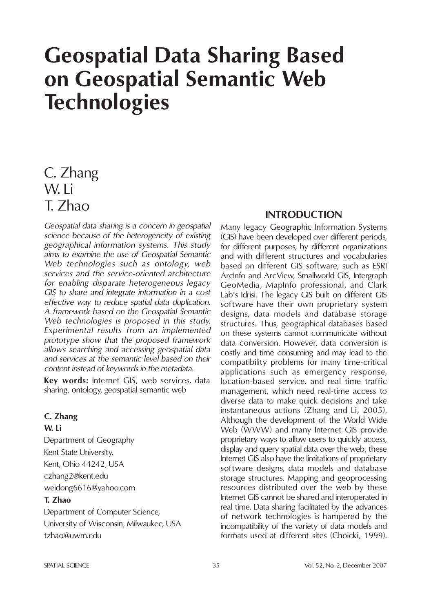# **Geospatial Data Sharing Based on Geospatial Semantic Web Technologies**

# C. Zhang W. Li T. Zhao

*Geospatial data sharing is a concern in geospatial science because of the heterogeneity of existing geographical information systems. This study aims to examine the use of Geospatial Semantic Web technologies such as ontology, web services and the service-oriented architecture for enabling disparate heterogeneous legacy GIS to share and integrate information in a cost effective way to reduce spatial data duplication. A framework based on the Geospatial Semantic Web technologies is proposed in this study. Experimental results from an implemented prototype show that the proposed framework allows searching and accessing geospatial data and services at the semantic level based on their content instead of keywords in the metadata.*

**Key words:** Internet GIS, web services, data sharing, ontology, geospatial semantic web

#### **C. Zhang**

#### **W. Li**

Department of Geography Kent State University, Kent, Ohio 44242, USA czhang2@kent.edu weidong6616@yahoo.com

#### **T. Zhao**

Department of Computer Science, University of Wisconsin, Milwaukee, USA tzhao@uwm.edu

#### **INTRODUCTION**

Many legacy Geographic Information Systems (GIS) have been developed over different periods, for different purposes, by different organizations and with different structures and vocabularies based on different GIS software, such as ESRI ArcInfo and ArcView, Smallworld GIS, Intergraph GeoMedia, MapInfo professional, and Clark Lab's Idrisi. The legacy GIS built on different GIS software have their own proprietary system designs, data models and database storage structures. Thus, geographical databases based on these systems cannot communicate without data conversion. However, data conversion is costly and time consuming and may lead to the compatibility problems for many time-critical applications such as emergency response, location-based service, and real time traffic management, which need real-time access to diverse data to make quick decisions and take instantaneous actions (Zhang and Li, 2005). Although the development of the World Wide Web (WWW) and many Internet GIS provide proprietary ways to allow users to quickly access, display and query spatial data over the web, these Internet GIS also have the limitations of proprietary software designs, data models and database storage structures. Mapping and geoprocessing resources distributed over the web by these Internet GIS cannot be shared and interoperated in real time. Data sharing facilitated by the advances of network technologies is hampered by the incompatibility of the variety of data models and formats used at different sites (Choicki, 1999).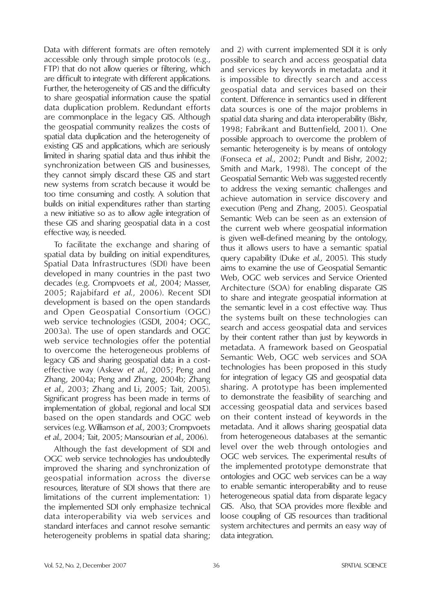Data with different formats are often remotely accessible only through simple protocols (e.g., FTP) that do not allow queries or filtering, which are difficult to integrate with different applications. Further, the heterogeneity of GIS and the difficulty to share geospatial information cause the spatial data duplication problem. Redundant efforts are commonplace in the legacy GIS. Although the geospatial community realizes the costs of spatial data duplication and the heterogeneity of existing GIS and applications, which are seriously limited in sharing spatial data and thus inhibit the synchronization between GIS and businesses, they cannot simply discard these GIS and start new systems from scratch because it would be too time consuming and costly. A solution that builds on initial expenditures rather than starting a new initiative so as to allow agile integration of these GIS and sharing geospatial data in a cost effective way, is needed.

To facilitate the exchange and sharing of spatial data by building on initial expenditures, Spatial Data Infrastructures (SDI) have been developed in many countries in the past two decades (e.g. Crompvoets *et al.*, 2004; Masser, 2005; Rajabifard *et al*., 2006). Recent SDI development is based on the open standards and Open Geospatial Consortium (OGC) web service technologies (GSDI, 2004; OGC, 2003a). The use of open standards and OGC web service technologies offer the potential to overcome the heterogeneous problems of legacy GIS and sharing geospatial data in a costeffective way (Askew *et al*., 2005; Peng and Zhang, 2004a; Peng and Zhang, 2004b; Zhang *et al*., 2003; Zhang and Li, 2005; Tait, 2005). Significant progress has been made in terms of implementation of global, regional and local SDI based on the open standards and OGC web services (e.g. Williamson *et al.*, 2003; Crompvoets *et al.,* 2004; Tait, 2005; Mansourian *et al.*, 2006).

Although the fast development of SDI and OGC web service technologies has undoubtedly improved the sharing and synchronization of geospatial information across the diverse resources, literature of SDI shows that there are limitations of the current implementation: 1) the implemented SDI only emphasize technical data interoperability via web services and standard interfaces and cannot resolve semantic heterogeneity problems in spatial data sharing;

and 2) with current implemented SDI it is only possible to search and access geospatial data and services by keywords in metadata and it is impossible to directly search and access geospatial data and services based on their content. Difference in semantics used in different data sources is one of the major problems in spatial data sharing and data interoperability (Bishr, 1998; Fabrikant and Buttenfield, 2001). One possible approach to overcome the problem of semantic heterogeneity is by means of ontology (Fonseca *et al*., 2002; Pundt and Bishr, 2002; Smith and Mark, 1998). The concept of the Geospatial Semantic Web was suggested recently to address the vexing semantic challenges and achieve automation in service discovery and execution (Peng and Zhang, 2005). Geospatial Semantic Web can be seen as an extension of the current web where geospatial information is given well-defined meaning by the ontology, thus it allows users to have a semantic spatial query capability (Duke *et al*., 2005). This study aims to examine the use of Geospatial Semantic Web, OGC web services and Service Oriented Architecture (SOA) for enabling disparate GIS to share and integrate geospatial information at the semantic level in a cost effective way. Thus the systems built on these technologies can search and access geospatial data and services by their content rather than just by keywords in metadata. A framework based on Geospatial Semantic Web, OGC web services and SOA technologies has been proposed in this study for integration of legacy GIS and geospatial data sharing. A prototype has been implemented to demonstrate the feasibility of searching and accessing geospatial data and services based on their content instead of keywords in the metadata. And it allows sharing geospatial data from heterogeneous databases at the semantic level over the web through ontologies and OGC web services. The experimental results of the implemented prototype demonstrate that ontologies and OGC web services can be a way to enable semantic interoperability and to reuse heterogeneous spatial data from disparate legacy GIS. Also, that SOA provides more flexible and loose coupling of GIS resources than traditional system architectures and permits an easy way of data integration.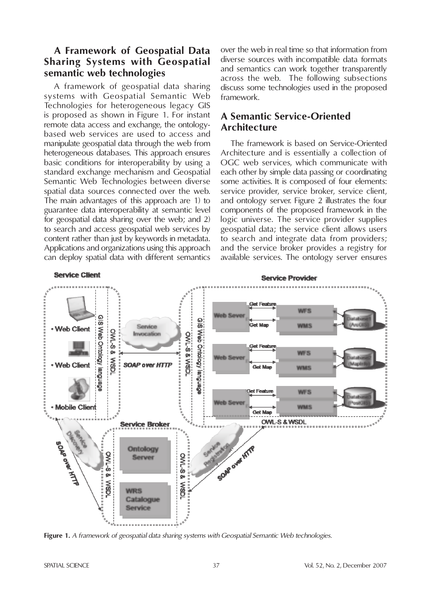# **A Framework of Geospatial Data Sharing Systems with Geospatial semantic web technologies**

A framework of geospatial data sharing systems with Geospatial Semantic Web Technologies for heterogeneous legacy GIS is proposed as shown in Figure 1. For instant remote data access and exchange, the ontologybased web services are used to access and manipulate geospatial data through the web from heterogeneous databases. This approach ensures basic conditions for interoperability by using a standard exchange mechanism and Geospatial Semantic Web Technologies between diverse spatial data sources connected over the web. The main advantages of this approach are 1) to guarantee data interoperability at semantic level for geospatial data sharing over the web; and 2) to search and access geospatial web services by content rather than just by keywords in metadata. Applications and organizations using this approach can deploy spatial data with different semantics over the web in real time so that information from diverse sources with incompatible data formats and semantics can work together transparently across the web. The following subsections discuss some technologies used in the proposed framework.

# **A Semantic Service-Oriented Architecture**

The framework is based on Service-Oriented Architecture and is essentially a collection of OGC web services, which communicate with each other by simple data passing or coordinating some activities. It is composed of four elements: service provider, service broker, service client, and ontology server. Figure 2 illustrates the four components of the proposed framework in the logic universe. The service provider supplies geospatial data; the service client allows users to search and integrate data from providers; and the service broker provides a registry for available services. The ontology server ensures



**Figure 1.** *A framework of geospatial data sharing systems with Geospatial Semantic Web technologies.*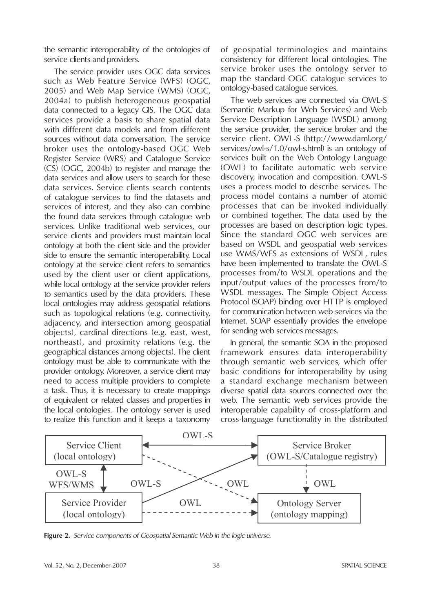the semantic interoperability of the ontologies of service clients and providers.

The service provider uses OGC data services such as Web Feature Service (WFS) (OGC, 2005) and Web Map Service (WMS) (OGC, 2004a) to publish heterogeneous geospatial data connected to a legacy GIS. The OGC data services provide a basis to share spatial data with different data models and from different sources without data conversation. The service broker uses the ontology-based OGC Web Register Service (WRS) and Catalogue Service (CS) (OGC, 2004b) to register and manage the data services and allow users to search for these data services. Service clients search contents of catalogue services to find the datasets and services of interest, and they also can combine the found data services through catalogue web services. Unlike traditional web services, our service clients and providers must maintain local ontology at both the client side and the provider side to ensure the semantic interoperability. Local ontology at the service client refers to semantics used by the client user or client applications, while local ontology at the service provider refers to semantics used by the data providers. These local ontologies may address geospatial relations such as topological relations (e.g. connectivity, adjacency, and intersection among geospatial objects), cardinal directions (e.g. east, west, northeast), and proximity relations (e.g. the geographical distances among objects). The client ontology must be able to communicate with the provider ontology. Moreover, a service client may need to access multiple providers to complete a task. Thus, it is necessary to create mappings of equivalent or related classes and properties in the local ontologies. The ontology server is used to realize this function and it keeps a taxonomy

of geospatial terminologies and maintains consistency for different local ontologies. The service broker uses the ontology server to map the standard OGC catalogue services to ontology-based catalogue services.

The web services are connected via OWL-S (Semantic Markup for Web Services) and Web Service Description Language (WSDL) among the service provider, the service broker and the service client. OWL-S (http://www.daml.org/ services/owl-s/1.0/owl-s.html) is an ontology of services built on the Web Ontology Language (OWL) to facilitate automatic web service discovery, invocation and composition. OWL-S uses a process model to describe services. The process model contains a number of atomic processes that can be invoked individually or combined together. The data used by the processes are based on description logic types. Since the standard OGC web services are based on WSDL and geospatial web services use WMS/WFS as extensions of WSDL, rules have been implemented to translate the OWL-S processes from/to WSDL operations and the input/output values of the processes from/to WSDL messages. The Simple Object Access Protocol (SOAP) binding over HTTP is employed for communication between web services via the Internet. SOAP essentially provides the envelope for sending web services messages.

In general, the semantic SOA in the proposed framework ensures data interoperability through semantic web services, which offer basic conditions for interoperability by using a standard exchange mechanism between diverse spatial data sources connected over the web. The semantic web services provide the interoperable capability of cross-platform and cross-language functionality in the distributed



**Figure 2.** *Service components of Geospatial Semantic Web in the logic universe.*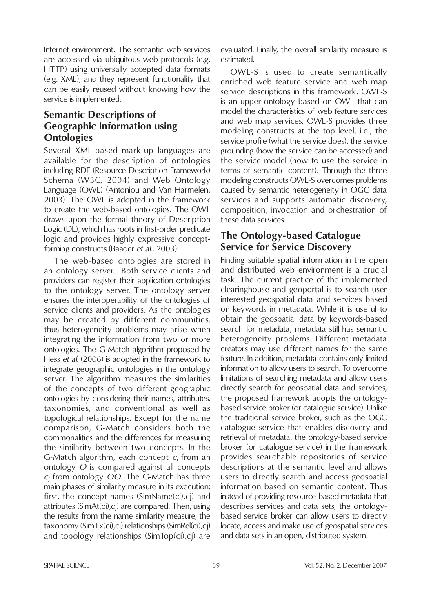Internet environment. The semantic web services are accessed via ubiquitous web protocols (e.g. HTTP) using universally accepted data formats (e.g. XML), and they represent functionality that can be easily reused without knowing how the service is implemented.

# **Semantic Descriptions of Geographic Information using Ontologies**

Several XML-based mark-up languages are available for the description of ontologies including RDF (Resource Description Framework) Schema (W3C, 2004) and Web Ontology Language (OWL) (Antoniou and Van Harmelen, 2003). The OWL is adopted in the framework to create the web-based ontologies. The OWL draws upon the formal theory of Description Logic (DL), which has roots in first-order predicate logic and provides highly expressive conceptforming constructs (Baader *et al.*, 2003).

The web-based ontologies are stored in an ontology server. Both service clients and providers can register their application ontologies to the ontology server. The ontology server ensures the interoperability of the ontologies of service clients and providers. As the ontologies may be created by different communities, thus heterogeneity problems may arise when integrating the information from two or more ontologies. The G-Match algorithm proposed by Hess *et al*. (2006) is adopted in the framework to integrate geographic ontologies in the ontology server. The algorithm measures the similarities of the concepts of two different geographic ontologies by considering their names, attributes, taxonomies, and conventional as well as topological relationships. Except for the name comparison, G-Match considers both the commonalities and the differences for measuring the similarity between two concepts. In the G-Match algorithm, each concept *ci* from an ontology *O* is compared against all concepts *cj* from ontology *OO*. The G-Match has three main phases of similarity measure in its execution: first, the concept names (SimName(ci),cj) and attributes (SimAt(ci),cj) are compared. Then, using the results from the name similarity measure, the taxonomy (SimTx(ci),cj) relationships (SimRel(ci),cj) and topology relationships (SimTop(ci),cj) are

evaluated. Finally, the overall similarity measure is estimated.

OWL-S is used to create semantically enriched web feature service and web map service descriptions in this framework. OWL-S is an upper-ontology based on OWL that can model the characteristics of web feature services and web map services. OWL-S provides three modeling constructs at the top level, i.e., the service profile (what the service does), the service grounding (how the service can be accessed) and the service model (how to use the service in terms of semantic content). Through the three modeling constructs OWL-S overcomes problems caused by semantic heterogeneity in OGC data services and supports automatic discovery, composition, invocation and orchestration of these data services.

# **The Ontology-based Catalogue Service for Service Discovery**

Finding suitable spatial information in the open and distributed web environment is a crucial task. The current practice of the implemented clearinghouse and geoportal is to search user interested geospatial data and services based on keywords in metadata. While it is useful to obtain the geospatial data by keywords-based search for metadata, metadata still has semantic heterogeneity problems. Different metadata creators may use different names for the same feature. In addition, metadata contains only limited information to allow users to search. To overcome limitations of searching metadata and allow users directly search for geospatial data and services, the proposed framework adopts the ontologybased service broker (or catalogue service). Unlike the traditional service broker, such as the OGC catalogue service that enables discovery and retrieval of metadata, the ontology-based service broker (or catalogue service) in the framework provides searchable repositories of service descriptions at the semantic level and allows users to directly search and access geospatial information based on semantic content. Thus instead of providing resource-based metadata that describes services and data sets, the ontologybased service broker can allow users to directly locate, access and make use of geospatial services and data sets in an open, distributed system.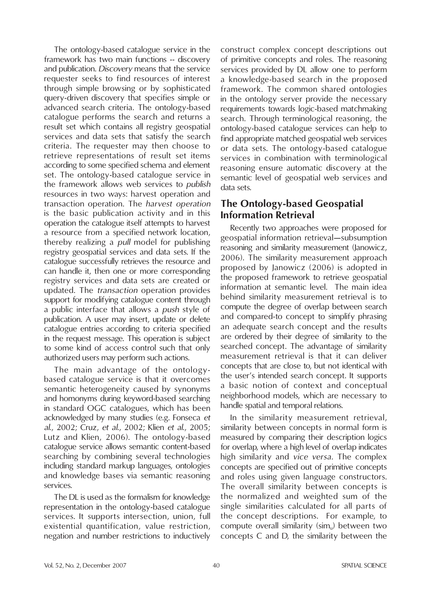The ontology-based catalogue service in the framework has two main functions -- discovery and publication. *Discovery* means that the service requester seeks to find resources of interest through simple browsing or by sophisticated query-driven discovery that specifies simple or advanced search criteria. The ontology-based catalogue performs the search and returns a result set which contains all registry geospatial services and data sets that satisfy the search criteria. The requester may then choose to retrieve representations of result set items according to some specified schema and element set. The ontology-based catalogue service in the framework allows web services to *publish*  resources in two ways: harvest operation and transaction operation. The *harvest operation* is the basic publication activity and in this operation the catalogue itself attempts to harvest a resource from a specified network location, thereby realizing a *pull* model for publishing registry geospatial services and data sets. If the catalogue successfully retrieves the resource and can handle it, then one or more corresponding registry services and data sets are created or updated. The *transaction* operation provides support for modifying catalogue content through a public interface that allows a *push* style of publication. A user may insert, update or delete catalogue entries according to criteria specified in the request message. This operation is subject to some kind of access control such that only authorized users may perform such actions.

The main advantage of the ontologybased catalogue service is that it overcomes semantic heterogeneity caused by synonyms and homonyms during keyword-based searching in standard OGC catalogues, which has been acknowledged by many studies (e.g. Fonseca *et al.*, 2002; Cruz, *et al.*, 2002; Klien *et al.*, 2005; Lutz and Klien, 2006). The ontology-based catalogue service allows semantic content-based searching by combining several technologies including standard markup languages, ontologies and knowledge bases via semantic reasoning services.

The DL is used as the formalism for knowledge representation in the ontology-based catalogue services. It supports intersection, union, full existential quantification, value restriction, negation and number restrictions to inductively construct complex concept descriptions out of primitive concepts and roles. The reasoning services provided by DL allow one to perform a knowledge-based search in the proposed framework. The common shared ontologies in the ontology server provide the necessary requirements towards logic-based matchmaking search. Through terminological reasoning, the ontology-based catalogue services can help to find appropriate matched geospatial web services or data sets. The ontology-based catalogue services in combination with terminological reasoning ensure automatic discovery at the semantic level of geospatial web services and data sets.

# **The Ontology-based Geospatial Information Retrieval**

Recently two approaches were proposed for geospatial information retrieval—subsumption reasoning and similarity measurement (Janowicz, 2006). The similarity measurement approach proposed by Janowicz (2006) is adopted in the proposed framework to retrieve geospatial information at semantic level. The main idea behind similarity measurement retrieval is to compute the degree of overlap between search and compared-to concept to simplify phrasing an adequate search concept and the results are ordered by their degree of similarity to the searched concept. The advantage of similarity measurement retrieval is that it can deliver concepts that are close to, but not identical with the user's intended search concept. It supports a basic notion of context and conceptual neighborhood models, which are necessary to handle spatial and temporal relations.

In the similarity measurement retrieval, similarity between concepts in normal form is measured by comparing their description logics for overlap, where a high level of overlap indicates high similarity and *vice versa*. The complex concepts are specified out of primitive concepts and roles using given language constructors. The overall similarity between concepts is the normalized and weighted sum of the single similarities calculated for all parts of the concept descriptions. For example, to compute overall similarity ( $\sin$ ) between two concepts C and D, the similarity between the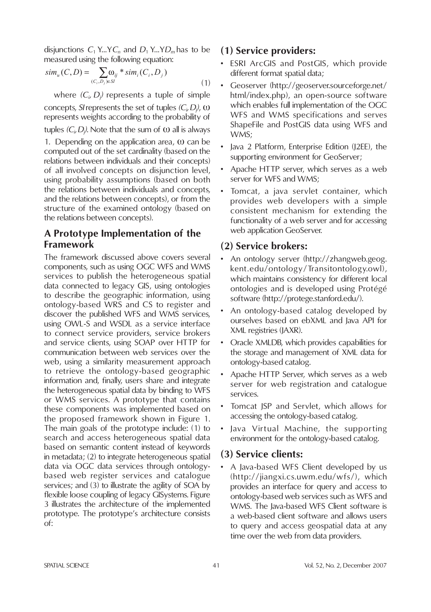disjunctions  $C_1$  Y...Y $C_n$  and  $D_1$  Y...Y $D_m$  has to be measured using the following equation:

$$
sim_u(C, D) = \sum_{(C_i, D_j) \in SI} \omega_{ij} * sim_i(C_i, D_j)
$$
\n(1)

where  $(C_i, D_j)$  represents a tuple of simple concepts, *SI* represents the set of tuples *(C<sub>i</sub>, D<sub>j</sub>)*, ω represents weights according to the probability of tuples  $(C_i, D_j)$ . Note that the sum of  $\omega$  all is always 1. Depending on the application area,  $\omega$  can be computed out of the set cardinality (based on the relations between individuals and their concepts) of all involved concepts on disjunction level, using probability assumptions (based on both the relations between individuals and concepts,

and the relations between concepts), or from the structure of the examined ontology (based on the relations between concepts).

# **A Prototype Implementation of the Framework**

The framework discussed above covers several components, such as using OGC WFS and WMS services to publish the heterogeneous spatial data connected to legacy GIS, using ontologies to describe the geographic information, using ontology-based WRS and CS to register and discover the published WFS and WMS services, using OWL-S and WSDL as a service interface to connect service providers, service brokers and service clients, using SOAP over HTTP for communication between web services over the web, using a similarity measurement approach to retrieve the ontology-based geographic information and, finally, users share and integrate the heterogeneous spatial data by binding to WFS or WMS services. A prototype that contains these components was implemented based on the proposed framework shown in Figure 1. The main goals of the prototype include: (1) to search and access heterogeneous spatial data based on semantic content instead of keywords in metadata; (2) to integrate heterogeneous spatial data via OGC data services through ontologybased web register services and catalogue services; and (3) to illustrate the agility of SOA by flexible loose coupling of legacy GISystems. Figure 3 illustrates the architecture of the implemented prototype. The prototype's architecture consists of:

#### **(1) Service providers:**

- ESRI ArcGIS and PostGIS, which provide different format spatial data;
- Geoserver (http://geoserver.sourceforge.net/ html/index.php), an open-source software which enables full implementation of the OGC WFS and WMS specifications and serves ShapeFile and PostGIS data using WFS and WMS;
- Java 2 Platform, Enterprise Edition (J2EE), the supporting environment for GeoServer;
- Apache HTTP server, which serves as a web server for WFS and WMS;
- Tomcat, a java servlet container, which provides web developers with a simple consistent mechanism for extending the functionality of a web server and for accessing web application GeoServer.

# **(2) Service brokers:**

- An ontology server (http://zhangweb.geog. kent.edu/ontology/Transitontology.owl), which maintains consistency for different local ontologies and is developed using Protégé software (http://protege.stanford.edu/).
- An ontology-based catalog developed by ourselves based on ebXML and Java API for XML registries (JAXR).
- Oracle XMLDB, which provides capabilities for the storage and management of XML data for ontology-based catalog.
- Apache HTTP Server, which serves as a web server for web registration and catalogue services.
- Tomcat JSP and Servlet, which allows for accessing the ontology-based catalog.
- Java Virtual Machine, the supporting environment for the ontology-based catalog.

# **(3) Service clients:**

• A Java-based WFS Client developed by us (http://jiangxi.cs.uwm.edu/wfs/), which provides an interface for query and access to ontology-based web services such as WFS and WMS. The Java-based WFS Client software is a web-based client software and allows users to query and access geospatial data at any time over the web from data providers.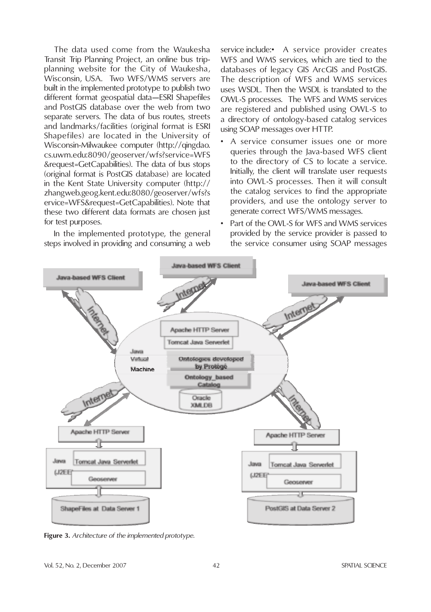The data used come from the Waukesha Transit Trip Planning Project, an online bus tripplanning website for the City of Waukesha, Wisconsin, USA. Two WFS/WMS servers are built in the implemented prototype to publish two different format geospatial data—ESRI Shapefiles and PostGIS database over the web from two separate servers. The data of bus routes, streets and landmarks/facilities (original format is ESRI Shapefiles) are located in the University of Wisconsin-Milwaukee computer (http://qingdao. cs.uwm.edu:8090/geoserver/wfs?service=WFS &request=GetCapabilities). The data of bus stops (original format is PostGIS database) are located in the Kent State University computer (http:// zhangweb.geog.kent.edu:8080/geoserver/wfs?s ervice=WFS&request=GetCapabilities). Note that these two different data formats are chosen just for test purposes.

In the implemented prototype, the general steps involved in providing and consuming a web

service include:• A service provider creates WFS and WMS services, which are tied to the databases of legacy GIS ArcGIS and PostGIS. The description of WFS and WMS services uses WSDL. Then the WSDL is translated to the OWL-S processes. The WFS and WMS services are registered and published using OWL-S to a directory of ontology-based catalog services using SOAP messages over HTTP.

- A service consumer issues one or more queries through the Java-based WFS client to the directory of CS to locate a service. Initially, the client will translate user requests into OWL-S processes. Then it will consult the catalog services to find the appropriate providers, and use the ontology server to generate correct WFS/WMS messages.
- Part of the OWL-S for WFS and WMS services provided by the service provider is passed to the service consumer using SOAP messages



**Figure 3.** *Architecture of the implemented prototype.*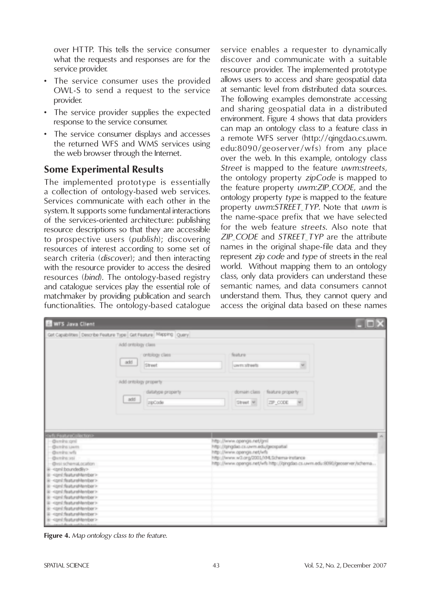over HTTP. This tells the service consumer what the requests and responses are for the service provider.

- The service consumer uses the provided OWL-S to send a request to the service provider.
- The service provider supplies the expected response to the service consumer.
- The service consumer displays and accesses the returned WFS and WMS services using the web browser through the Internet.

# **Some Experimental Results**

The implemented prototype is essentially a collection of ontology-based web services. Services communicate with each other in the system. It supports some fundamental interactions of the services-oriented architecture: publishing resource descriptions so that they are accessible to prospective users (*publish*); discovering resources of interest according to some set of search criteria (*discover*); and then interacting with the resource provider to access the desired resources (*bind*). The ontology-based registry and catalogue services play the essential role of matchmaker by providing publication and search functionalities. The ontology-based catalogue

service enables a requester to dynamically discover and communicate with a suitable resource provider. The implemented prototype allows users to access and share geospatial data at semantic level from distributed data sources. The following examples demonstrate accessing and sharing geospatial data in a distributed environment. Figure 4 shows that data providers can map an ontology class to a feature class in a remote WFS server (http://qingdao.cs.uwm. edu:8090/geoserver/wfs) from any place over the web. In this example, ontology class *Street* is mapped to the feature *uwm:streets*, the ontology property *zipCode* is mapped to the feature property *uwm:ZIP\_CODE*, and the ontology property *type* is mapped to the feature property *uwm:STREET\_TYP*. Note that *uwm* is the name-space prefix that we have selected for the web feature *streets*. Also note that *ZIP\_CODE* and *STREET\_TYP* are the attribute names in the original shape-file data and they represent *zip code* and *type* of streets in the real world. Without mapping them to an ontology class, only data providers can understand these semantic names, and data consumers cannot understand them. Thus, they cannot query and access the original data based on these names

| <b>Ed WFS Java Client</b>                                                        |                                                                  | $\blacksquare$ $\blacksquare$ $\times$                                                                                   |
|----------------------------------------------------------------------------------|------------------------------------------------------------------|--------------------------------------------------------------------------------------------------------------------------|
|                                                                                  | Get Capabilities Describe Feature Type Get Feature Misping Query |                                                                                                                          |
|                                                                                  | Add ontology class                                               |                                                                                                                          |
|                                                                                  | ontology class                                                   | foature                                                                                                                  |
|                                                                                  | $\frac{1}{2}$<br>Street                                          | ×<br>uwm.streets                                                                                                         |
|                                                                                  | Add ontology property.                                           |                                                                                                                          |
|                                                                                  | datatype property                                                | domain class / feature property                                                                                          |
|                                                                                  | add<br>zpCode                                                    | Sheet w 29 CODE w                                                                                                        |
|                                                                                  |                                                                  |                                                                                                                          |
|                                                                                  |                                                                  |                                                                                                                          |
| orfs FeatureCollection>                                                          |                                                                  | $\alpha$                                                                                                                 |
| - Bumins coni<br>-Bunins uwm                                                     |                                                                  | http://www.opengis.net/gnil<br>http://gingdao.cs.uwm.edu/geospatial                                                      |
| - Gumins wh                                                                      |                                                                  | http://www.opengis.net/wfs                                                                                               |
| $-$ Burning and<br><b>Onlinghematocation</b>                                     |                                                                  | http://www.w3.org/2001/04.Schema-instance<br>http://www.opengis.net/wfs.http://qingdao.cs.uwm.edu.9090;igeoserver/schema |
| iii <ami.boundediy></ami.boundediy>                                              |                                                                  |                                                                                                                          |
| ii <onl.feat.remember></onl.feat.remember>                                       |                                                                  |                                                                                                                          |
| iii <coml:featuremember><br/>ii -cont featureMember&gt;</coml:featuremember>     |                                                                  |                                                                                                                          |
| iii <aml:featuremember></aml:featuremember>                                      |                                                                  |                                                                                                                          |
| ii <onl featuremember=""></onl>                                                  |                                                                  |                                                                                                                          |
| iii <com!:featuremember></com!:featuremember>                                    |                                                                  |                                                                                                                          |
| ii <onl:feat.remember><br/>ii <cont featuremember=""></cont></onl:feat.remember> |                                                                  |                                                                                                                          |
| iii <spnl:featuremember><br/>ı</spnl:featuremember>                              |                                                                  |                                                                                                                          |

**Figure 4.** *Map ontology class to the feature.*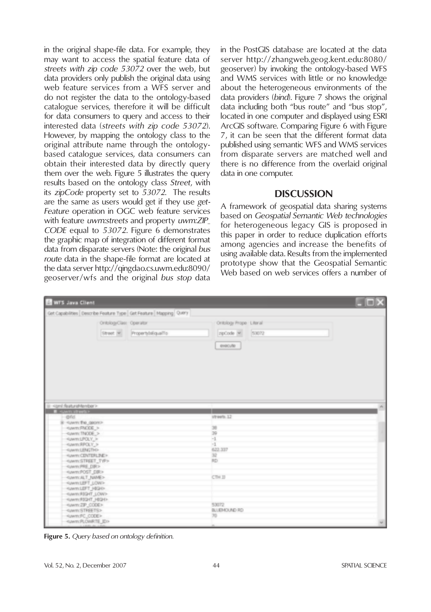in the original shape-file data. For example, they may want to access the spatial feature data of *streets with zip code 53072* over the web, but data providers only publish the original data using web feature services from a WFS server and do not register the data to the ontology-based catalogue services, therefore it will be difficult for data consumers to query and access to their interested data (*streets with zip code 53072*). However, by mapping the ontology class to the original attribute name through the ontologybased catalogue services, data consumers can obtain their interested data by directly query them over the web. Figure 5 illustrates the query results based on the ontology class *Street*, with its *zipCode* property set to *53072*. The results are the same as users would get if they use *get-Feature* operation in OGC web feature services with feature *uwm:streets* and property *uwm:ZIP\_ CODE* equal to *53072*. Figure 6 demonstrates the graphic map of integration of different format data from disparate servers (Note: the original *bus route* data in the shape-file format are located at the data server http://qingdao.cs.uwm.edu:8090/ geoserver/wfs and the original *bus stop* data

in the PostGIS database are located at the data server http://zhangweb.geog.kent.edu:8080/ geoserver) by invoking the ontology-based WFS and WMS services with little or no knowledge about the heterogeneous environments of the data providers (*bind*). Figure 7 shows the original data including both "bus route" and "bus stop", located in one computer and displayed using ESRI ArcGIS software. Comparing Figure 6 with Figure 7, it can be seen that the different format data published using semantic WFS and WMS services from disparate servers are matched well and there is no difference from the overlaid original data in one computer.

#### **DISCUSSION**

A framework of geospatial data sharing systems based on *Geospatial Semantic Web technologies* for heterogeneous legacy GIS is proposed in this paper in order to reduce duplication efforts among agencies and increase the benefits of using available data. Results from the implemented prototype show that the Geospatial Semantic Web based on web services offers a number of

| <b>Ed WFS Java Client</b>                                                                                                                                                  |                            |                                                         | $ \Box$ |
|----------------------------------------------------------------------------------------------------------------------------------------------------------------------------|----------------------------|---------------------------------------------------------|---------|
| Get Capabilities   Describe Feature Type   Get Feature   Mapping   Query                                                                                                   |                            |                                                         |         |
| OntologyClass Operator                                                                                                                                                     | Street M. PropertyNEqualTo | Ontology Prope Literal<br>spCode w 53072<br>execute     |         |
| ii <gel:featuremember><br/><b>Commence</b><br/><math> 0</math>fid</gel:featuremember>                                                                                      |                            | streets.12                                              |         |
| <uww.fnode><br/>HUMMI LPOLY_&gt;<br/>HUWIYOENTERLINE&gt;</uww.fnode>                                                                                                       |                            | 38<br>39<br>$-1$<br>$\mathbf{u}$<br>622,337<br>32<br>RD |         |
| Hawm:POST_DIR.H<br><www.alt_name><br/>KWINSET HIGH-<br/><www.93ght_low><br/>4Mm/RSDF: NSHH<br/><br/> <br/> STREETS&gt;<br/>Hawm/FC_CODE&gt;</www.93ght_low></www.alt_name> |                            | CTH 33<br>53072<br>BLUEMOUND RD                         |         |

**Figure 5.** *Query based on ontology definition.*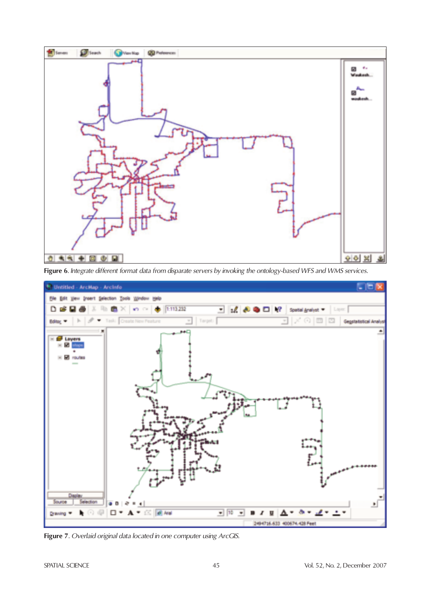

**Figure 6***. Integrate different format data from disparate servers by invoking the ontology-based WFS and WMS services.*



**Figure 7***. Overlaid original data located in one computer using ArcGIS.*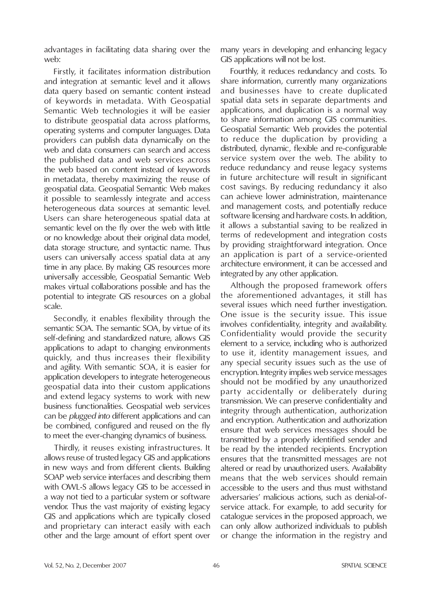advantages in facilitating data sharing over the web:

Firstly, it facilitates information distribution and integration at semantic level and it allows data query based on semantic content instead of keywords in metadata. With Geospatial Semantic Web technologies it will be easier to distribute geospatial data across platforms, operating systems and computer languages. Data providers can publish data dynamically on the web and data consumers can search and access the published data and web services across the web based on content instead of keywords in metadata, thereby maximizing the reuse of geospatial data. Geospatial Semantic Web makes it possible to seamlessly integrate and access heterogeneous data sources at semantic level. Users can share heterogeneous spatial data at semantic level on the fly over the web with little or no knowledge about their original data model, data storage structure, and syntactic name. Thus users can universally access spatial data at any time in any place. By making GIS resources more universally accessible, Geospatial Semantic Web makes virtual collaborations possible and has the potential to integrate GIS resources on a global scale.

Secondly, it enables flexibility through the semantic SOA. The semantic SOA, by virtue of its self-defining and standardized nature, allows GIS applications to adapt to changing environments quickly, and thus increases their flexibility and agility. With semantic SOA, it is easier for application developers to integrate heterogeneous geospatial data into their custom applications and extend legacy systems to work with new business functionalities. Geospatial web services can be *plugged into* different applications and can be combined, configured and reused on the fly to meet the ever-changing dynamics of business.

Thirdly, it reuses existing infrastructures. It allows reuse of trusted legacy GIS and applications in new ways and from different clients. Building SOAP web service interfaces and describing them with OWL-S allows legacy GIS to be accessed in a way not tied to a particular system or software vendor. Thus the vast majority of existing legacy GIS and applications which are typically closed and proprietary can interact easily with each other and the large amount of effort spent over

many years in developing and enhancing legacy GIS applications will not be lost.

Fourthly, it reduces redundancy and costs. To share information, currently many organizations and businesses have to create duplicated spatial data sets in separate departments and applications, and duplication is a normal way to share information among GIS communities. Geospatial Semantic Web provides the potential to reduce the duplication by providing a distributed, dynamic, flexible and re-configurable service system over the web. The ability to reduce redundancy and reuse legacy systems in future architecture will result in significant cost savings. By reducing redundancy it also can achieve lower administration, maintenance and management costs, and potentially reduce software licensing and hardware costs. In addition, it allows a substantial saving to be realized in terms of redevelopment and integration costs by providing straightforward integration. Once an application is part of a service-oriented architecture environment, it can be accessed and integrated by any other application.

Although the proposed framework offers the aforementioned advantages, it still has several issues which need further investigation. One issue is the security issue. This issue involves confidentiality, integrity and availability. Confidentiality would provide the security element to a service, including who is authorized to use it, identity management issues, and any special security issues such as the use of encryption. Integrity implies web service messages should not be modified by any unauthorized party accidentally or deliberately during transmission. We can preserve confidentiality and integrity through authentication, authorization and encryption. Authentication and authorization ensure that web services messages should be transmitted by a properly identified sender and be read by the intended recipients. Encryption ensures that the transmitted messages are not altered or read by unauthorized users. Availability means that the web services should remain accessible to the users and thus must withstand adversaries' malicious actions, such as denial-ofservice attack. For example, to add security for catalogue services in the proposed approach, we can only allow authorized individuals to publish or change the information in the registry and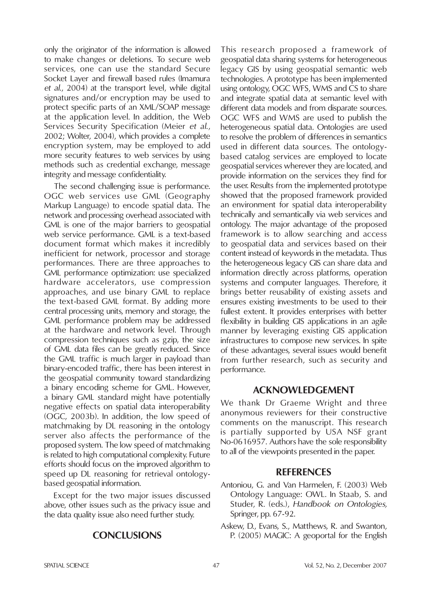only the originator of the information is allowed to make changes or deletions. To secure web services, one can use the standard Secure Socket Layer and firewall based rules (Imamura *et al*., 2004) at the transport level, while digital signatures and/or encryption may be used to protect specific parts of an XML/SOAP message at the application level. In addition, the Web Services Security Specification (Meier *et al*., 2002; Wolter, 2004), which provides a complete encryption system, may be employed to add more security features to web services by using methods such as credential exchange, message integrity and message confidentiality.

The second challenging issue is performance. OGC web services use GML (Geography Markup Language) to encode spatial data. The network and processing overhead associated with GML is one of the major barriers to geospatial web service performance. GML is a text-based document format which makes it incredibly inefficient for network, processor and storage performances. There are three approaches to GML performance optimization: use specialized hardware accelerators, use compression approaches, and use binary GML to replace the text-based GML format. By adding more central processing units, memory and storage, the GML performance problem may be addressed at the hardware and network level. Through compression techniques such as gzip, the size of GML data files can be greatly reduced. Since the GML traffic is much larger in payload than binary-encoded traffic, there has been interest in the geospatial community toward standardizing a binary encoding scheme for GML. However, a binary GML standard might have potentially negative effects on spatial data interoperability (OGC, 2003b). In addition, the low speed of matchmaking by DL reasoning in the ontology server also affects the performance of the proposed system. The low speed of matchmaking is related to high computational complexity. Future efforts should focus on the improved algorithm to speed up DL reasoning for retrieval ontologybased geospatial information.

Except for the two major issues discussed above, other issues such as the privacy issue and the data quality issue also need further study.

#### **CONCLUSIONS**

This research proposed a framework of geospatial data sharing systems for heterogeneous legacy GIS by using geospatial semantic web technologies. A prototype has been implemented using ontology, OGC WFS, WMS and CS to share and integrate spatial data at semantic level with different data models and from disparate sources. OGC WFS and WMS are used to publish the heterogeneous spatial data. Ontologies are used to resolve the problem of differences in semantics used in different data sources. The ontologybased catalog services are employed to locate geospatial services wherever they are located, and provide information on the services they find for the user. Results from the implemented prototype showed that the proposed framework provided an environment for spatial data interoperability technically and semantically via web services and ontology. The major advantage of the proposed framework is to allow searching and access to geospatial data and services based on their content instead of keywords in the metadata. Thus the heterogeneous legacy GIS can share data and information directly across platforms, operation systems and computer languages. Therefore, it brings better reusability of existing assets and ensures existing investments to be used to their fullest extent. It provides enterprises with better flexibility in building GIS applications in an agile manner by leveraging existing GIS application infrastructures to compose new services. In spite of these advantages, several issues would benefit from further research, such as security and performance.

#### **ACKNOWLEDGEMENT**

We thank Dr Graeme Wright and three anonymous reviewers for their constructive comments on the manuscript. This research is partially supported by USA NSF grant No-0616957. Authors have the sole responsibility to all of the viewpoints presented in the paper.

#### **REFERENCES**

- Antoniou, G. and Van Harmelen, F. (2003) Web Ontology Language: OWL. In Staab, S. and Studer, R. (eds.), *Handbook on Ontologies,*  Springer, pp. 67-92.
- Askew, D., Evans, S., Matthews, R. and Swanton, P. (2005) MAGIC: A geoportal for the English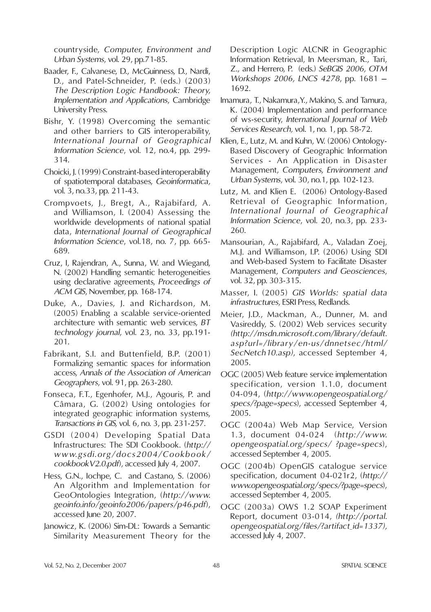countryside, *Computer, Environment and Urban Systems*, vol. 29, pp.71-85.

- Baader, F., Calvanese, D., McGuinness, D., Nardi, D., and Patel-Schneider, P. (eds.) (2003) *The Description Logic Handbook: Theory, Implementation and Applications*, Cambridge University Press.
- Bishr, Y. (1998) Overcoming the semantic and other barriers to GIS interoperability, *International Journal of Geographical Information Science*, vol. 12, no.4, pp. 299- 314.
- Choicki, J. (1999) Constraint-based interoperability of spatiotemporal databases, *Geoinformatica,* vol. 3, no.33, pp. 211-43.
- Crompvoets, J., Bregt, A., Rajabifard, A. and Williamson, I. (2004) Assessing the worldwide developments of national spatial data, *International Journal of Geographical Information Science*, vol.18, no. 7, pp. 665- 689.
- Cruz, I, Rajendran, A., Sunna, W. and Wiegand, N. (2002) Handling semantic heterogeneities using declarative agreements, *Proceedings of ACM GIS*, November, pp. 168-174.
- Duke, A., Davies, J. and Richardson, M. (2005) Enabling a scalable service-oriented architecture with semantic web services, *BT technology journal*, vol. 23, no. 33, pp.191- 201.
- Fabrikant, S.I. and Buttenfield, B.P. (2001) Formalizing semantic spaces for information access, *Annals of the Association of American Geographers*, vol. 91, pp. 263-280.
- Fonseca, F.T., Egenhofer, M.J., Agouris, P. and Câmara, G. (2002) Using ontologies for integrated geographic information systems, *Transactions in GIS,* vol. 6, no. 3, pp. 231-257.
- GSDI (2004) Developing Spatial Data Infrastructures: The SDI Cookbook. (*http:// www.gsdi.org/docs2004/Cookbook/ cookbookV2.0.pdf*), accessed July 4, 2007.
- Hess, G.N., Iochpe, C. and Castano, S. (2006) An Algorithm and Implementation for GeoOntologies Integration, (*http://www. geoinfo.info/geoinfo2006/papers/p46.pdf*), accessed June 20, 2007.
- Janowicz, K. (2006) Sim-DL: Towards a Semantic Similarity Measurement Theory for the

Description Logic ALCNR in Geographic Information Retrieval, In Meersman, R., Tari, Z., and Herrero, P. (eds.) *SeBGIS 2006, OTM Workshops 2006, LNCS 4278*, pp. 1681 – 1692.

- Imamura, T., Nakamura,Y., Makino, S. and Tamura, K. (2004) Implementation and performance of ws-security, *International Journal of Web Services Research,* vol. 1, no. 1, pp. 58-72.
- Klien, E., Lutz, M. and Kuhn, W. (2006) Ontology-Based Discovery of Geographic Information Services - An Application in Disaster Management, *Computers, Environment and Urban Systems*, vol. 30, no.1, pp. 102-123.
- Lutz, M. and Klien E. (2006) Ontology-Based Retrieval of Geographic Information, *International Journal of Geographical Information Science*, vol. 20, no.3, pp. 233- 260.
- Mansourian, A., Rajabifard, A., Valadan Zoej, M.J. and Williamson, I.P. (2006) Using SDI and Web-based System to Facilitate Disaster Management, *Computers and Geosciences*, vol. 32, pp. 303-315.
- Masser, I. (2005) *GIS Worlds: spatial data infrastructures*, ESRI Press, Redlands.
- Meier, J.D., Mackman, A., Dunner, M. and Vasireddy, S. (2002) Web services security *(http://msdn.microsoft.com/library/default. asp?url=/library/en-us/dnnetsec/html/ SecNetch10.asp)*, accessed September 4, 2005.
- OGC (2005) Web feature service implementation specification, version 1.1.0, document 04-094, (*http://www.opengeospatial.org/ specs/?page=specs*), accessed September 4, 2005.
- OGC (2004a) Web Map Service, Version 1.3, document 04-024 (*http://www. opengeospatial.org/specs/ ?page=specs*), accessed September 4, 2005.
- OGC (2004b) OpenGIS catalogue service specification, document 04-021r2, (*http:// www.opengeospatial.org/ specs/?page=specs*), accessed September 4, 2005.
- OGC (2003a) OWS 1.2 SOAP Experiment Report, document 03-014, *(http://portal. opengeospatial.org/files/?artifact\_id=1337),*  accessed July 4, 2007.